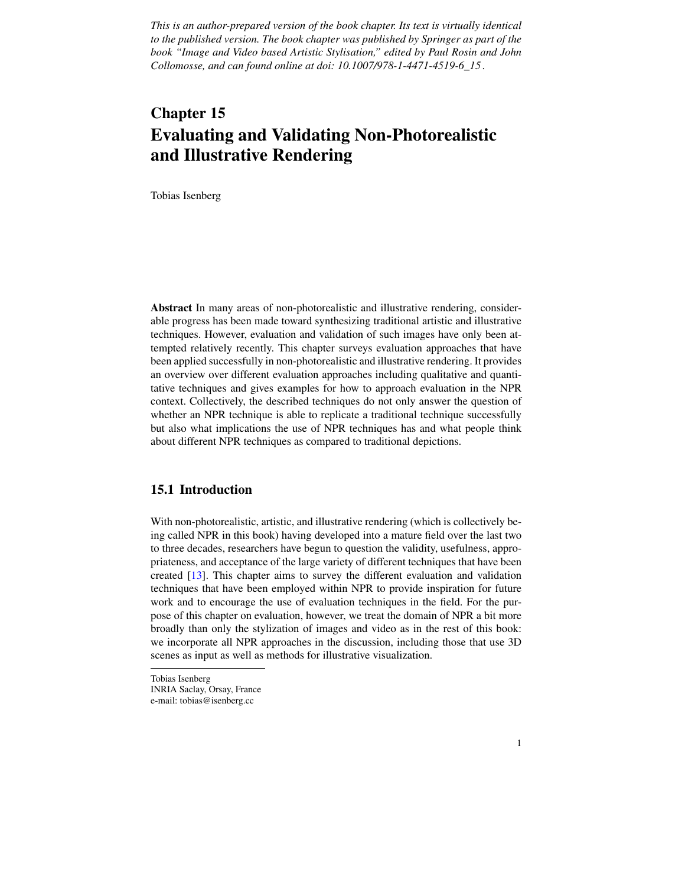*This is an author-prepared version of the book chapter. Its text is virtually identical to the published version. The book chapter was published by Springer as part of the book "Image and Video based Artistic Stylisation," edited by Paul Rosin and John Collomosse, and can found online at doi: [10.1007/978-1-4471-4519-6\\_15](http://dx.doi.org/10.1007/978-1-4471-4519-6_15) .*

# Chapter 15 Evaluating and Validating Non-Photorealistic and Illustrative Rendering

Tobias Isenberg

Abstract In many areas of non-photorealistic and illustrative rendering, considerable progress has been made toward synthesizing traditional artistic and illustrative techniques. However, evaluation and validation of such images have only been attempted relatively recently. This chapter surveys evaluation approaches that have been applied successfully in non-photorealistic and illustrative rendering. It provides an overview over different evaluation approaches including qualitative and quantitative techniques and gives examples for how to approach evaluation in the NPR context. Collectively, the described techniques do not only answer the question of whether an NPR technique is able to replicate a traditional technique successfully but also what implications the use of NPR techniques has and what people think about different NPR techniques as compared to traditional depictions.

#### 15.1 Introduction

With non-photorealistic, artistic, and illustrative rendering (which is collectively being called NPR in this book) having developed into a mature field over the last two to three decades, researchers have begun to question the validity, usefulness, appropriateness, and acceptance of the large variety of different techniques that have been created [\[13\]](#page-17-0). This chapter aims to survey the different evaluation and validation techniques that have been employed within NPR to provide inspiration for future work and to encourage the use of evaluation techniques in the field. For the purpose of this chapter on evaluation, however, we treat the domain of NPR a bit more broadly than only the stylization of images and video as in the rest of this book: we incorporate all NPR approaches in the discussion, including those that use 3D scenes as input as well as methods for illustrative visualization.

Tobias Isenberg INRIA Saclay, Orsay, France e-mail: tobias@isenberg.cc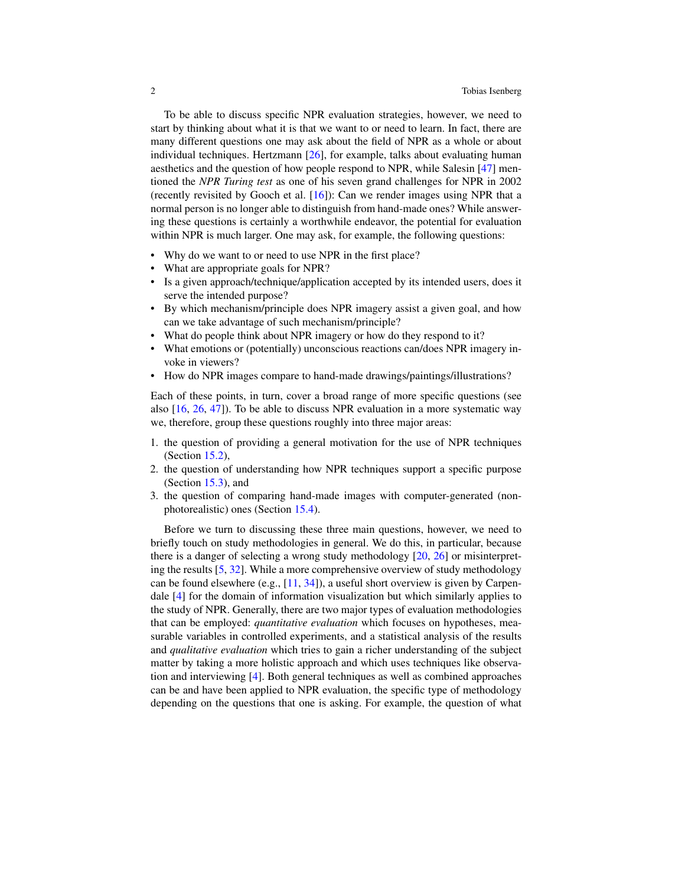To be able to discuss specific NPR evaluation strategies, however, we need to start by thinking about what it is that we want to or need to learn. In fact, there are many different questions one may ask about the field of NPR as a whole or about individual techniques. Hertzmann  $[26]$ , for example, talks about evaluating human aesthetics and the question of how people respond to NPR, while Salesin [\[47\]](#page-19-0) mentioned the *NPR Turing test* as one of his seven grand challenges for NPR in 2002 (recently revisited by Gooch et al. [\[16\]](#page-18-1)): Can we render images using NPR that a normal person is no longer able to distinguish from hand-made ones? While answering these questions is certainly a worthwhile endeavor, the potential for evaluation within NPR is much larger. One may ask, for example, the following questions:

- Why do we want to or need to use NPR in the first place?
- What are appropriate goals for NPR?
- Is a given approach/technique/application accepted by its intended users, does it serve the intended purpose?
- By which mechanism/principle does NPR imagery assist a given goal, and how can we take advantage of such mechanism/principle?
- What do people think about NPR imagery or how do they respond to it?
- What emotions or (potentially) unconscious reactions can/does NPR imagery invoke in viewers?
- How do NPR images compare to hand-made drawings/paintings/illustrations?

Each of these points, in turn, cover a broad range of more specific questions (see also  $[16, 26, 47]$  $[16, 26, 47]$  $[16, 26, 47]$  $[16, 26, 47]$  $[16, 26, 47]$ . To be able to discuss NPR evaluation in a more systematic way we, therefore, group these questions roughly into three major areas:

- 1. the question of providing a general motivation for the use of NPR techniques (Section [15.2\)](#page-2-0),
- 2. the question of understanding how NPR techniques support a specific purpose (Section [15.3\)](#page-6-0), and
- 3. the question of comparing hand-made images with computer-generated (nonphotorealistic) ones (Section [15.4\)](#page-12-0).

Before we turn to discussing these three main questions, however, we need to briefly touch on study methodologies in general. We do this, in particular, because there is a danger of selecting a wrong study methodology [\[20,](#page-18-2) [26\]](#page-18-0) or misinterpreting the results [\[5,](#page-17-1) [32\]](#page-18-3). While a more comprehensive overview of study methodology can be found elsewhere (e.g., [\[11,](#page-17-2) [34\]](#page-19-1)), a useful short overview is given by Carpendale [\[4\]](#page-17-3) for the domain of information visualization but which similarly applies to the study of NPR. Generally, there are two major types of evaluation methodologies that can be employed: *quantitative evaluation* which focuses on hypotheses, measurable variables in controlled experiments, and a statistical analysis of the results and *qualitative evaluation* which tries to gain a richer understanding of the subject matter by taking a more holistic approach and which uses techniques like observation and interviewing [\[4\]](#page-17-3). Both general techniques as well as combined approaches can be and have been applied to NPR evaluation, the specific type of methodology depending on the questions that one is asking. For example, the question of what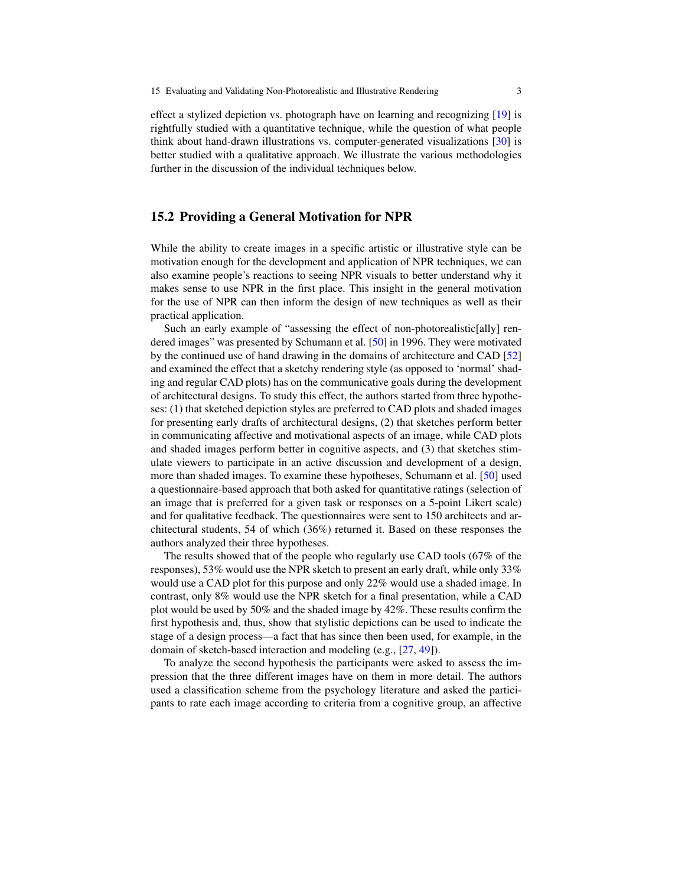effect a stylized depiction vs. photograph have on learning and recognizing [\[19\]](#page-18-4) is rightfully studied with a quantitative technique, while the question of what people think about hand-drawn illustrations vs. computer-generated visualizations [\[30\]](#page-18-5) is better studied with a qualitative approach. We illustrate the various methodologies further in the discussion of the individual techniques below.

### <span id="page-2-0"></span>15.2 Providing a General Motivation for NPR

While the ability to create images in a specific artistic or illustrative style can be motivation enough for the development and application of NPR techniques, we can also examine people's reactions to seeing NPR visuals to better understand why it makes sense to use NPR in the first place. This insight in the general motivation for the use of NPR can then inform the design of new techniques as well as their practical application.

Such an early example of "assessing the effect of non-photorealistic[ally] rendered images" was presented by Schumann et al. [\[50\]](#page-19-2) in 1996. They were motivated by the continued use of hand drawing in the domains of architecture and CAD [\[52\]](#page-19-3) and examined the effect that a sketchy rendering style (as opposed to 'normal' shading and regular CAD plots) has on the communicative goals during the development of architectural designs. To study this effect, the authors started from three hypotheses: (1) that sketched depiction styles are preferred to CAD plots and shaded images for presenting early drafts of architectural designs, (2) that sketches perform better in communicating affective and motivational aspects of an image, while CAD plots and shaded images perform better in cognitive aspects, and (3) that sketches stimulate viewers to participate in an active discussion and development of a design, more than shaded images. To examine these hypotheses, Schumann et al. [\[50\]](#page-19-2) used a questionnaire-based approach that both asked for quantitative ratings (selection of an image that is preferred for a given task or responses on a 5-point Likert scale) and for qualitative feedback. The questionnaires were sent to 150 architects and architectural students, 54 of which (36%) returned it. Based on these responses the authors analyzed their three hypotheses.

The results showed that of the people who regularly use CAD tools (67% of the responses), 53% would use the NPR sketch to present an early draft, while only 33% would use a CAD plot for this purpose and only 22% would use a shaded image. In contrast, only 8% would use the NPR sketch for a final presentation, while a CAD plot would be used by 50% and the shaded image by 42%. These results confirm the first hypothesis and, thus, show that stylistic depictions can be used to indicate the stage of a design process—a fact that has since then been used, for example, in the domain of sketch-based interaction and modeling (e.g., [\[27,](#page-18-6) [49\]](#page-19-4)).

To analyze the second hypothesis the participants were asked to assess the impression that the three different images have on them in more detail. The authors used a classification scheme from the psychology literature and asked the participants to rate each image according to criteria from a cognitive group, an affective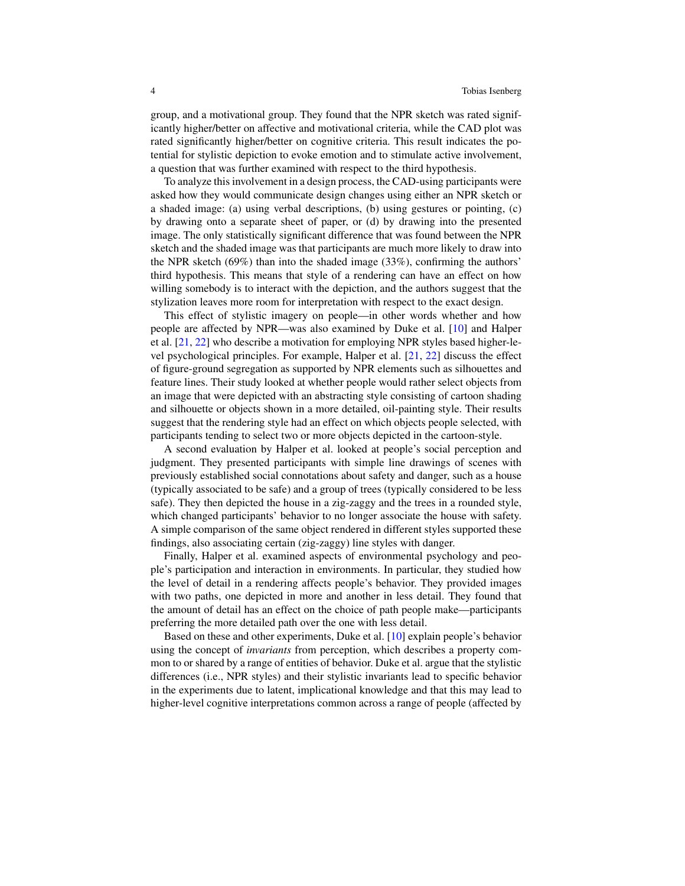group, and a motivational group. They found that the NPR sketch was rated significantly higher/better on affective and motivational criteria, while the CAD plot was rated significantly higher/better on cognitive criteria. This result indicates the potential for stylistic depiction to evoke emotion and to stimulate active involvement, a question that was further examined with respect to the third hypothesis.

To analyze this involvement in a design process, the CAD-using participants were asked how they would communicate design changes using either an NPR sketch or a shaded image: (a) using verbal descriptions, (b) using gestures or pointing, (c) by drawing onto a separate sheet of paper, or (d) by drawing into the presented image. The only statistically significant difference that was found between the NPR sketch and the shaded image was that participants are much more likely to draw into the NPR sketch (69%) than into the shaded image (33%), confirming the authors' third hypothesis. This means that style of a rendering can have an effect on how willing somebody is to interact with the depiction, and the authors suggest that the stylization leaves more room for interpretation with respect to the exact design.

This effect of stylistic imagery on people—in other words whether and how people are affected by NPR—was also examined by Duke et al. [\[10\]](#page-17-4) and Halper et al. [\[21,](#page-18-7) [22\]](#page-18-8) who describe a motivation for employing NPR styles based higher-level psychological principles. For example, Halper et al. [\[21,](#page-18-7) [22\]](#page-18-8) discuss the effect of figure-ground segregation as supported by NPR elements such as silhouettes and feature lines. Their study looked at whether people would rather select objects from an image that were depicted with an abstracting style consisting of cartoon shading and silhouette or objects shown in a more detailed, oil-painting style. Their results suggest that the rendering style had an effect on which objects people selected, with participants tending to select two or more objects depicted in the cartoon-style.

A second evaluation by Halper et al. looked at people's social perception and judgment. They presented participants with simple line drawings of scenes with previously established social connotations about safety and danger, such as a house (typically associated to be safe) and a group of trees (typically considered to be less safe). They then depicted the house in a zig-zaggy and the trees in a rounded style, which changed participants' behavior to no longer associate the house with safety. A simple comparison of the same object rendered in different styles supported these findings, also associating certain (zig-zaggy) line styles with danger.

Finally, Halper et al. examined aspects of environmental psychology and people's participation and interaction in environments. In particular, they studied how the level of detail in a rendering affects people's behavior. They provided images with two paths, one depicted in more and another in less detail. They found that the amount of detail has an effect on the choice of path people make—participants preferring the more detailed path over the one with less detail.

Based on these and other experiments, Duke et al. [\[10\]](#page-17-4) explain people's behavior using the concept of *invariants* from perception, which describes a property common to or shared by a range of entities of behavior. Duke et al. argue that the stylistic differences (i.e., NPR styles) and their stylistic invariants lead to specific behavior in the experiments due to latent, implicational knowledge and that this may lead to higher-level cognitive interpretations common across a range of people (affected by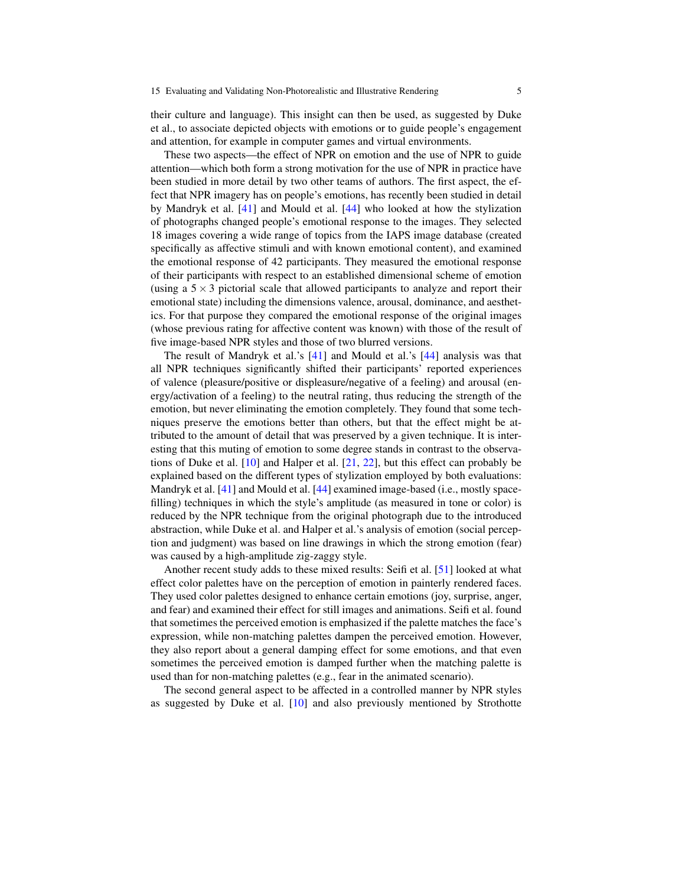their culture and language). This insight can then be used, as suggested by Duke et al., to associate depicted objects with emotions or to guide people's engagement and attention, for example in computer games and virtual environments.

These two aspects—the effect of NPR on emotion and the use of NPR to guide attention—which both form a strong motivation for the use of NPR in practice have been studied in more detail by two other teams of authors. The first aspect, the effect that NPR imagery has on people's emotions, has recently been studied in detail by Mandryk et al. [\[41\]](#page-19-5) and Mould et al. [\[44\]](#page-19-6) who looked at how the stylization of photographs changed people's emotional response to the images. They selected 18 images covering a wide range of topics from the IAPS image database (created specifically as affective stimuli and with known emotional content), and examined the emotional response of 42 participants. They measured the emotional response of their participants with respect to an established dimensional scheme of emotion (using a  $5 \times 3$  pictorial scale that allowed participants to analyze and report their emotional state) including the dimensions valence, arousal, dominance, and aesthetics. For that purpose they compared the emotional response of the original images (whose previous rating for affective content was known) with those of the result of five image-based NPR styles and those of two blurred versions.

The result of Mandryk et al.'s [\[41\]](#page-19-5) and Mould et al.'s [\[44\]](#page-19-6) analysis was that all NPR techniques significantly shifted their participants' reported experiences of valence (pleasure/positive or displeasure/negative of a feeling) and arousal (energy/activation of a feeling) to the neutral rating, thus reducing the strength of the emotion, but never eliminating the emotion completely. They found that some techniques preserve the emotions better than others, but that the effect might be attributed to the amount of detail that was preserved by a given technique. It is interesting that this muting of emotion to some degree stands in contrast to the observations of Duke et al. [\[10\]](#page-17-4) and Halper et al. [\[21,](#page-18-7) [22\]](#page-18-8), but this effect can probably be explained based on the different types of stylization employed by both evaluations: Mandryk et al. [\[41\]](#page-19-5) and Mould et al. [\[44\]](#page-19-6) examined image-based (i.e., mostly spacefilling) techniques in which the style's amplitude (as measured in tone or color) is reduced by the NPR technique from the original photograph due to the introduced abstraction, while Duke et al. and Halper et al.'s analysis of emotion (social perception and judgment) was based on line drawings in which the strong emotion (fear) was caused by a high-amplitude zig-zaggy style.

Another recent study adds to these mixed results: Seifi et al. [\[51\]](#page-19-7) looked at what effect color palettes have on the perception of emotion in painterly rendered faces. They used color palettes designed to enhance certain emotions (joy, surprise, anger, and fear) and examined their effect for still images and animations. Seifi et al. found that sometimes the perceived emotion is emphasized if the palette matches the face's expression, while non-matching palettes dampen the perceived emotion. However, they also report about a general damping effect for some emotions, and that even sometimes the perceived emotion is damped further when the matching palette is used than for non-matching palettes (e.g., fear in the animated scenario).

The second general aspect to be affected in a controlled manner by NPR styles as suggested by Duke et al. [\[10\]](#page-17-4) and also previously mentioned by Strothotte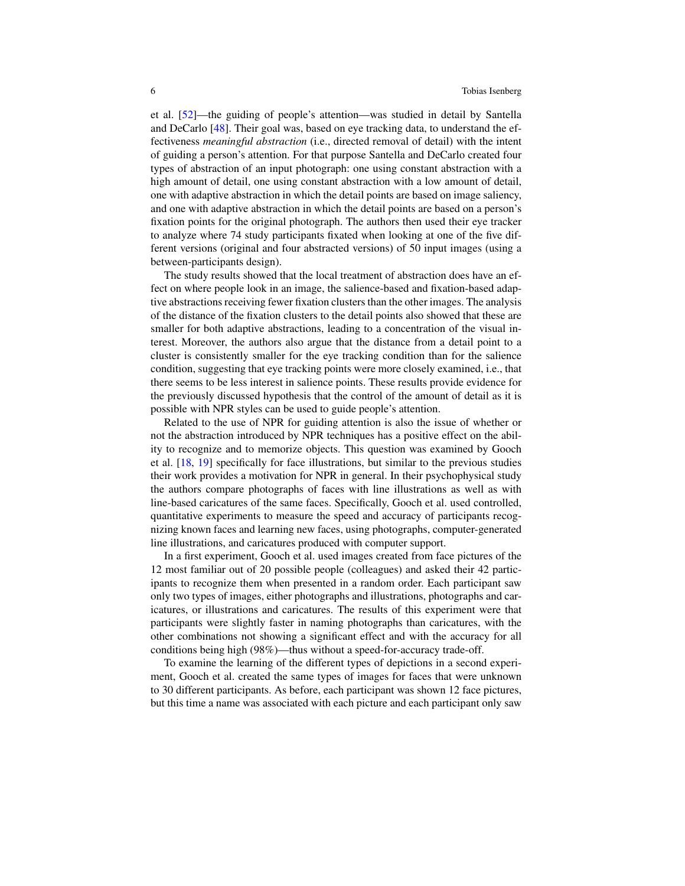et al. [\[52\]](#page-19-3)—the guiding of people's attention—was studied in detail by Santella and DeCarlo [\[48\]](#page-19-8). Their goal was, based on eye tracking data, to understand the effectiveness *meaningful abstraction* (i.e., directed removal of detail) with the intent of guiding a person's attention. For that purpose Santella and DeCarlo created four types of abstraction of an input photograph: one using constant abstraction with a high amount of detail, one using constant abstraction with a low amount of detail, one with adaptive abstraction in which the detail points are based on image saliency, and one with adaptive abstraction in which the detail points are based on a person's fixation points for the original photograph. The authors then used their eye tracker to analyze where 74 study participants fixated when looking at one of the five different versions (original and four abstracted versions) of 50 input images (using a between-participants design).

The study results showed that the local treatment of abstraction does have an effect on where people look in an image, the salience-based and fixation-based adaptive abstractions receiving fewer fixation clusters than the other images. The analysis of the distance of the fixation clusters to the detail points also showed that these are smaller for both adaptive abstractions, leading to a concentration of the visual interest. Moreover, the authors also argue that the distance from a detail point to a cluster is consistently smaller for the eye tracking condition than for the salience condition, suggesting that eye tracking points were more closely examined, i.e., that there seems to be less interest in salience points. These results provide evidence for the previously discussed hypothesis that the control of the amount of detail as it is possible with NPR styles can be used to guide people's attention.

Related to the use of NPR for guiding attention is also the issue of whether or not the abstraction introduced by NPR techniques has a positive effect on the ability to recognize and to memorize objects. This question was examined by Gooch et al. [\[18,](#page-18-9) [19\]](#page-18-4) specifically for face illustrations, but similar to the previous studies their work provides a motivation for NPR in general. In their psychophysical study the authors compare photographs of faces with line illustrations as well as with line-based caricatures of the same faces. Specifically, Gooch et al. used controlled, quantitative experiments to measure the speed and accuracy of participants recognizing known faces and learning new faces, using photographs, computer-generated line illustrations, and caricatures produced with computer support.

In a first experiment, Gooch et al. used images created from face pictures of the 12 most familiar out of 20 possible people (colleagues) and asked their 42 participants to recognize them when presented in a random order. Each participant saw only two types of images, either photographs and illustrations, photographs and caricatures, or illustrations and caricatures. The results of this experiment were that participants were slightly faster in naming photographs than caricatures, with the other combinations not showing a significant effect and with the accuracy for all conditions being high (98%)—thus without a speed-for-accuracy trade-off.

To examine the learning of the different types of depictions in a second experiment, Gooch et al. created the same types of images for faces that were unknown to 30 different participants. As before, each participant was shown 12 face pictures, but this time a name was associated with each picture and each participant only saw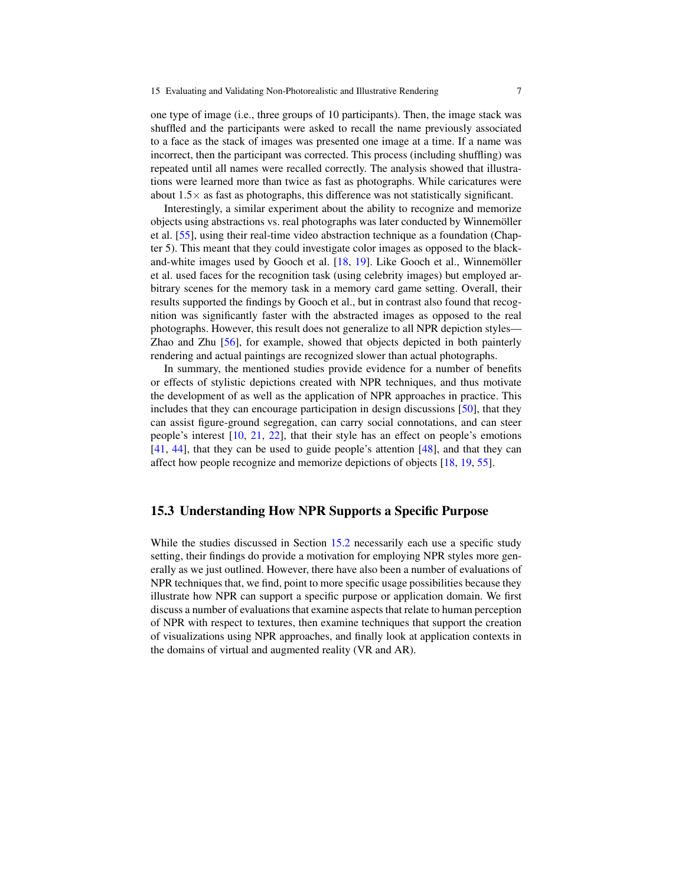one type of image (i.e., three groups of 10 participants). Then, the image stack was shuffled and the participants were asked to recall the name previously associated to a face as the stack of images was presented one image at a time. If a name was incorrect, then the participant was corrected. This process (including shuffling) was repeated until all names were recalled correctly. The analysis showed that illustrations were learned more than twice as fast as photographs. While caricatures were about  $1.5\times$  as fast as photographs, this difference was not statistically significant.

Interestingly, a similar experiment about the ability to recognize and memorize objects using abstractions vs. real photographs was later conducted by Winnemöller et al. [\[55\]](#page-20-0), using their real-time video abstraction technique as a foundation (Chapter 5). This meant that they could investigate color images as opposed to the blackand-white images used by Gooch et al. [\[18,](#page-18-9) [19\]](#page-18-4). Like Gooch et al., Winnemöller et al. used faces for the recognition task (using celebrity images) but employed arbitrary scenes for the memory task in a memory card game setting. Overall, their results supported the findings by Gooch et al., but in contrast also found that recognition was significantly faster with the abstracted images as opposed to the real photographs. However, this result does not generalize to all NPR depiction styles— Zhao and Zhu [\[56\]](#page-20-1), for example, showed that objects depicted in both painterly rendering and actual paintings are recognized slower than actual photographs.

In summary, the mentioned studies provide evidence for a number of benefits or effects of stylistic depictions created with NPR techniques, and thus motivate the development of as well as the application of NPR approaches in practice. This includes that they can encourage participation in design discussions [\[50\]](#page-19-2), that they can assist figure-ground segregation, can carry social connotations, and can steer people's interest [\[10,](#page-17-4) [21,](#page-18-7) [22\]](#page-18-8), that their style has an effect on people's emotions [\[41,](#page-19-5) [44\]](#page-19-6), that they can be used to guide people's attention [\[48\]](#page-19-8), and that they can affect how people recognize and memorize depictions of objects [\[18,](#page-18-9) [19,](#page-18-4) [55\]](#page-20-0).

## <span id="page-6-0"></span>15.3 Understanding How NPR Supports a Specific Purpose

While the studies discussed in Section [15.2](#page-2-0) necessarily each use a specific study setting, their findings do provide a motivation for employing NPR styles more generally as we just outlined. However, there have also been a number of evaluations of NPR techniques that, we find, point to more specific usage possibilities because they illustrate how NPR can support a specific purpose or application domain. We first discuss a number of evaluations that examine aspects that relate to human perception of NPR with respect to textures, then examine techniques that support the creation of visualizations using NPR approaches, and finally look at application contexts in the domains of virtual and augmented reality (VR and AR).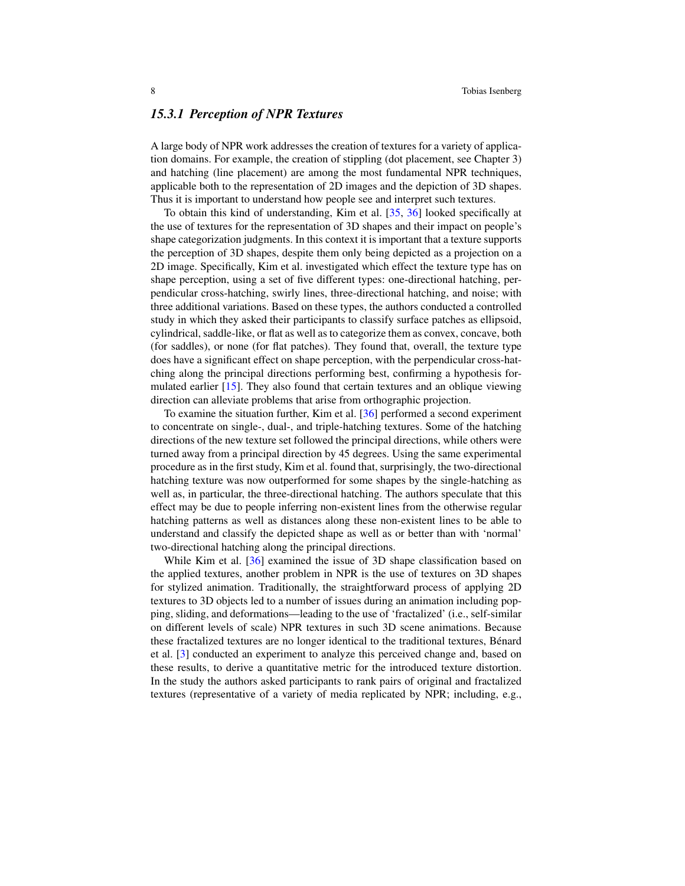## <span id="page-7-0"></span>*15.3.1 Perception of NPR Textures*

A large body of NPR work addresses the creation of textures for a variety of application domains. For example, the creation of stippling (dot placement, see Chapter 3) and hatching (line placement) are among the most fundamental NPR techniques, applicable both to the representation of 2D images and the depiction of 3D shapes. Thus it is important to understand how people see and interpret such textures.

To obtain this kind of understanding, Kim et al. [\[35,](#page-19-9) [36\]](#page-19-10) looked specifically at the use of textures for the representation of 3D shapes and their impact on people's shape categorization judgments. In this context it is important that a texture supports the perception of 3D shapes, despite them only being depicted as a projection on a 2D image. Specifically, Kim et al. investigated which effect the texture type has on shape perception, using a set of five different types: one-directional hatching, perpendicular cross-hatching, swirly lines, three-directional hatching, and noise; with three additional variations. Based on these types, the authors conducted a controlled study in which they asked their participants to classify surface patches as ellipsoid, cylindrical, saddle-like, or flat as well as to categorize them as convex, concave, both (for saddles), or none (for flat patches). They found that, overall, the texture type does have a significant effect on shape perception, with the perpendicular cross-hatching along the principal directions performing best, confirming a hypothesis formulated earlier [\[15\]](#page-18-10). They also found that certain textures and an oblique viewing direction can alleviate problems that arise from orthographic projection.

To examine the situation further, Kim et al. [\[36\]](#page-19-10) performed a second experiment to concentrate on single-, dual-, and triple-hatching textures. Some of the hatching directions of the new texture set followed the principal directions, while others were turned away from a principal direction by 45 degrees. Using the same experimental procedure as in the first study, Kim et al. found that, surprisingly, the two-directional hatching texture was now outperformed for some shapes by the single-hatching as well as, in particular, the three-directional hatching. The authors speculate that this effect may be due to people inferring non-existent lines from the otherwise regular hatching patterns as well as distances along these non-existent lines to be able to understand and classify the depicted shape as well as or better than with 'normal' two-directional hatching along the principal directions.

While Kim et al. [\[36\]](#page-19-10) examined the issue of 3D shape classification based on the applied textures, another problem in NPR is the use of textures on 3D shapes for stylized animation. Traditionally, the straightforward process of applying 2D textures to 3D objects led to a number of issues during an animation including popping, sliding, and deformations—leading to the use of 'fractalized' (i.e., self-similar on different levels of scale) NPR textures in such 3D scene animations. Because these fractalized textures are no longer identical to the traditional textures, Bénard et al. [\[3\]](#page-17-5) conducted an experiment to analyze this perceived change and, based on these results, to derive a quantitative metric for the introduced texture distortion. In the study the authors asked participants to rank pairs of original and fractalized textures (representative of a variety of media replicated by NPR; including, e.g.,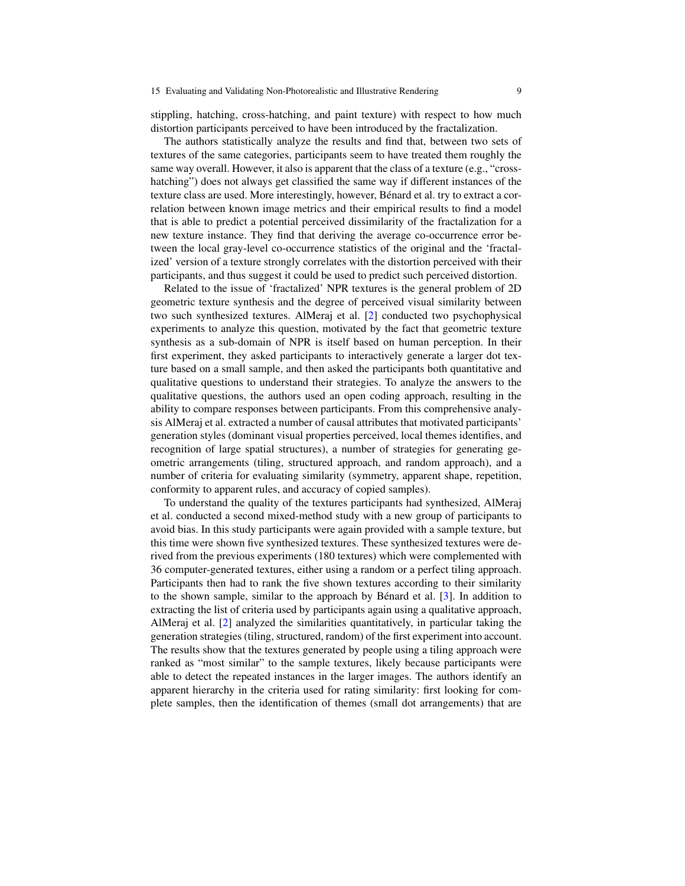#### 15 Evaluating and Validating Non-Photorealistic and Illustrative Rendering 9

stippling, hatching, cross-hatching, and paint texture) with respect to how much distortion participants perceived to have been introduced by the fractalization.

The authors statistically analyze the results and find that, between two sets of textures of the same categories, participants seem to have treated them roughly the same way overall. However, it also is apparent that the class of a texture (e.g., "crosshatching") does not always get classified the same way if different instances of the texture class are used. More interestingly, however, Bénard et al. try to extract a correlation between known image metrics and their empirical results to find a model that is able to predict a potential perceived dissimilarity of the fractalization for a new texture instance. They find that deriving the average co-occurrence error between the local gray-level co-occurrence statistics of the original and the 'fractalized' version of a texture strongly correlates with the distortion perceived with their participants, and thus suggest it could be used to predict such perceived distortion.

Related to the issue of 'fractalized' NPR textures is the general problem of 2D geometric texture synthesis and the degree of perceived visual similarity between two such synthesized textures. AlMeraj et al. [\[2\]](#page-17-6) conducted two psychophysical experiments to analyze this question, motivated by the fact that geometric texture synthesis as a sub-domain of NPR is itself based on human perception. In their first experiment, they asked participants to interactively generate a larger dot texture based on a small sample, and then asked the participants both quantitative and qualitative questions to understand their strategies. To analyze the answers to the qualitative questions, the authors used an open coding approach, resulting in the ability to compare responses between participants. From this comprehensive analysis AlMeraj et al. extracted a number of causal attributes that motivated participants' generation styles (dominant visual properties perceived, local themes identifies, and recognition of large spatial structures), a number of strategies for generating geometric arrangements (tiling, structured approach, and random approach), and a number of criteria for evaluating similarity (symmetry, apparent shape, repetition, conformity to apparent rules, and accuracy of copied samples).

To understand the quality of the textures participants had synthesized, AlMeraj et al. conducted a second mixed-method study with a new group of participants to avoid bias. In this study participants were again provided with a sample texture, but this time were shown five synthesized textures. These synthesized textures were derived from the previous experiments (180 textures) which were complemented with 36 computer-generated textures, either using a random or a perfect tiling approach. Participants then had to rank the five shown textures according to their similarity to the shown sample, similar to the approach by Bénard et al. [\[3\]](#page-17-5). In addition to extracting the list of criteria used by participants again using a qualitative approach, AlMeraj et al. [\[2\]](#page-17-6) analyzed the similarities quantitatively, in particular taking the generation strategies (tiling, structured, random) of the first experiment into account. The results show that the textures generated by people using a tiling approach were ranked as "most similar" to the sample textures, likely because participants were able to detect the repeated instances in the larger images. The authors identify an apparent hierarchy in the criteria used for rating similarity: first looking for complete samples, then the identification of themes (small dot arrangements) that are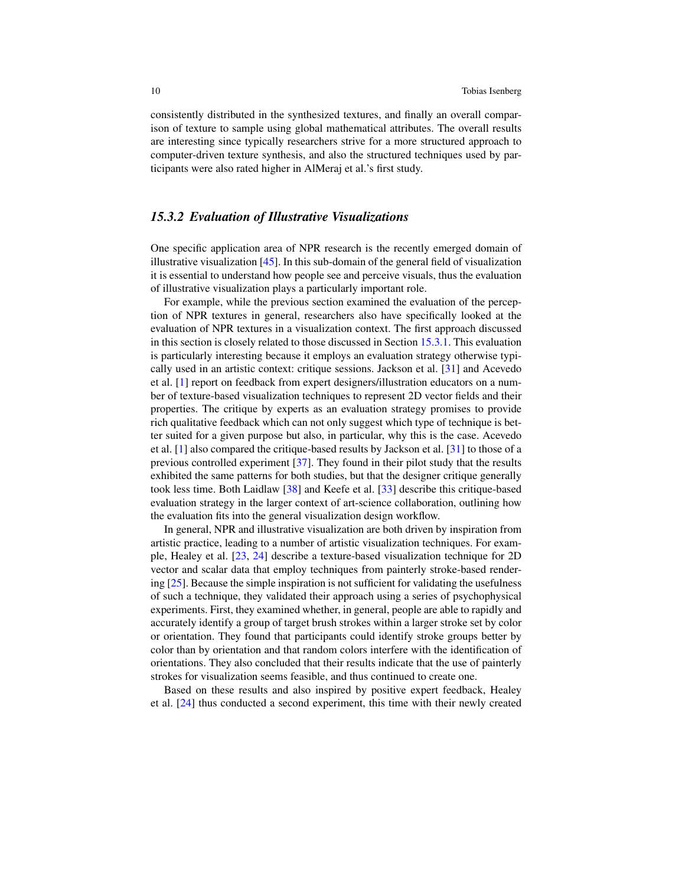consistently distributed in the synthesized textures, and finally an overall comparison of texture to sample using global mathematical attributes. The overall results are interesting since typically researchers strive for a more structured approach to computer-driven texture synthesis, and also the structured techniques used by participants were also rated higher in AlMeraj et al.'s first study.

#### <span id="page-9-0"></span>*15.3.2 Evaluation of Illustrative Visualizations*

One specific application area of NPR research is the recently emerged domain of illustrative visualization [\[45\]](#page-19-11). In this sub-domain of the general field of visualization it is essential to understand how people see and perceive visuals, thus the evaluation of illustrative visualization plays a particularly important role.

For example, while the previous section examined the evaluation of the perception of NPR textures in general, researchers also have specifically looked at the evaluation of NPR textures in a visualization context. The first approach discussed in this section is closely related to those discussed in Section [15.3.1.](#page-7-0) This evaluation is particularly interesting because it employs an evaluation strategy otherwise typically used in an artistic context: critique sessions. Jackson et al. [\[31\]](#page-18-11) and Acevedo et al. [\[1\]](#page-17-7) report on feedback from expert designers/illustration educators on a number of texture-based visualization techniques to represent 2D vector fields and their properties. The critique by experts as an evaluation strategy promises to provide rich qualitative feedback which can not only suggest which type of technique is better suited for a given purpose but also, in particular, why this is the case. Acevedo et al. [\[1\]](#page-17-7) also compared the critique-based results by Jackson et al. [\[31\]](#page-18-11) to those of a previous controlled experiment [\[37\]](#page-19-12). They found in their pilot study that the results exhibited the same patterns for both studies, but that the designer critique generally took less time. Both Laidlaw [\[38\]](#page-19-13) and Keefe et al. [\[33\]](#page-18-12) describe this critique-based evaluation strategy in the larger context of art-science collaboration, outlining how the evaluation fits into the general visualization design workflow.

In general, NPR and illustrative visualization are both driven by inspiration from artistic practice, leading to a number of artistic visualization techniques. For example, Healey et al. [\[23,](#page-18-13) [24\]](#page-18-14) describe a texture-based visualization technique for 2D vector and scalar data that employ techniques from painterly stroke-based rendering [\[25\]](#page-18-15). Because the simple inspiration is not sufficient for validating the usefulness of such a technique, they validated their approach using a series of psychophysical experiments. First, they examined whether, in general, people are able to rapidly and accurately identify a group of target brush strokes within a larger stroke set by color or orientation. They found that participants could identify stroke groups better by color than by orientation and that random colors interfere with the identification of orientations. They also concluded that their results indicate that the use of painterly strokes for visualization seems feasible, and thus continued to create one.

Based on these results and also inspired by positive expert feedback, Healey et al. [\[24\]](#page-18-14) thus conducted a second experiment, this time with their newly created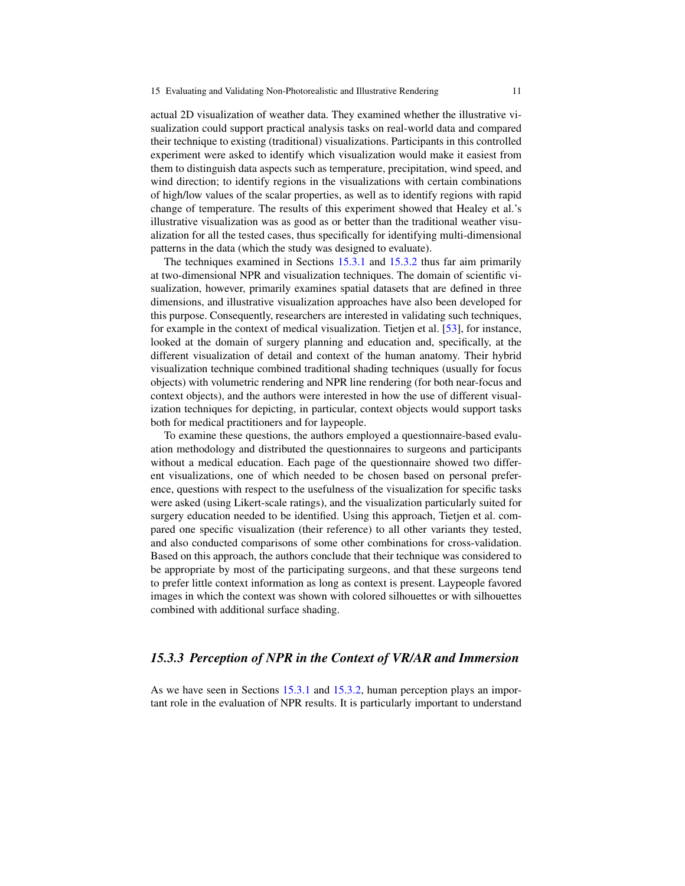actual 2D visualization of weather data. They examined whether the illustrative visualization could support practical analysis tasks on real-world data and compared their technique to existing (traditional) visualizations. Participants in this controlled experiment were asked to identify which visualization would make it easiest from them to distinguish data aspects such as temperature, precipitation, wind speed, and wind direction; to identify regions in the visualizations with certain combinations of high/low values of the scalar properties, as well as to identify regions with rapid change of temperature. The results of this experiment showed that Healey et al.'s illustrative visualization was as good as or better than the traditional weather visualization for all the tested cases, thus specifically for identifying multi-dimensional patterns in the data (which the study was designed to evaluate).

The techniques examined in Sections [15.3.1](#page-7-0) and [15.3.2](#page-9-0) thus far aim primarily at two-dimensional NPR and visualization techniques. The domain of scientific visualization, however, primarily examines spatial datasets that are defined in three dimensions, and illustrative visualization approaches have also been developed for this purpose. Consequently, researchers are interested in validating such techniques, for example in the context of medical visualization. Tietjen et al. [\[53\]](#page-19-14), for instance, looked at the domain of surgery planning and education and, specifically, at the different visualization of detail and context of the human anatomy. Their hybrid visualization technique combined traditional shading techniques (usually for focus objects) with volumetric rendering and NPR line rendering (for both near-focus and context objects), and the authors were interested in how the use of different visualization techniques for depicting, in particular, context objects would support tasks both for medical practitioners and for laypeople.

To examine these questions, the authors employed a questionnaire-based evaluation methodology and distributed the questionnaires to surgeons and participants without a medical education. Each page of the questionnaire showed two different visualizations, one of which needed to be chosen based on personal preference, questions with respect to the usefulness of the visualization for specific tasks were asked (using Likert-scale ratings), and the visualization particularly suited for surgery education needed to be identified. Using this approach, Tietjen et al. compared one specific visualization (their reference) to all other variants they tested, and also conducted comparisons of some other combinations for cross-validation. Based on this approach, the authors conclude that their technique was considered to be appropriate by most of the participating surgeons, and that these surgeons tend to prefer little context information as long as context is present. Laypeople favored images in which the context was shown with colored silhouettes or with silhouettes combined with additional surface shading.

## *15.3.3 Perception of NPR in the Context of VR/AR and Immersion*

As we have seen in Sections [15.3.1](#page-7-0) and [15.3.2,](#page-9-0) human perception plays an important role in the evaluation of NPR results. It is particularly important to understand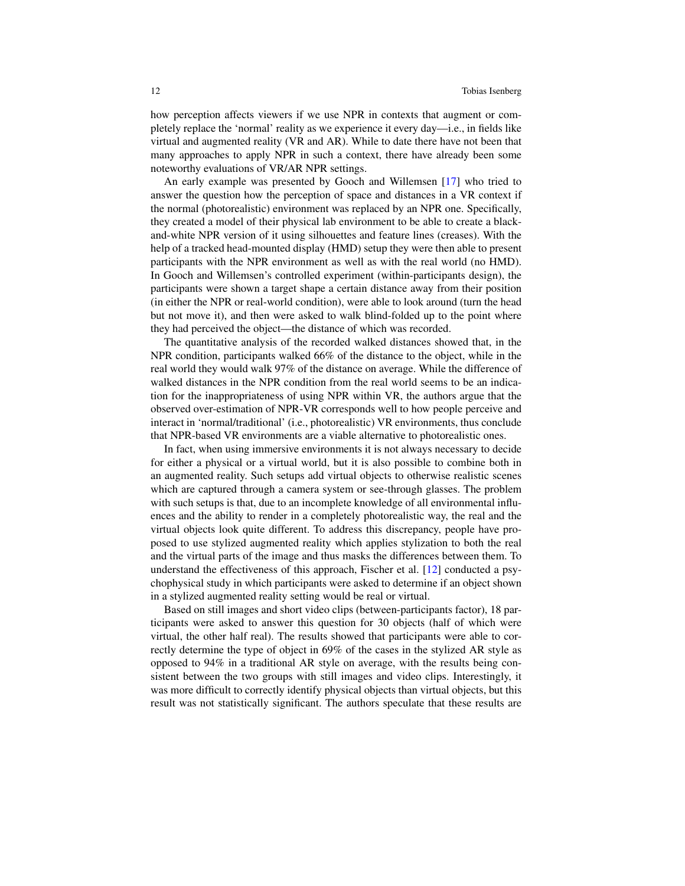how perception affects viewers if we use NPR in contexts that augment or completely replace the 'normal' reality as we experience it every day—i.e., in fields like virtual and augmented reality (VR and AR). While to date there have not been that many approaches to apply NPR in such a context, there have already been some noteworthy evaluations of VR/AR NPR settings.

An early example was presented by Gooch and Willemsen [\[17\]](#page-18-16) who tried to answer the question how the perception of space and distances in a VR context if the normal (photorealistic) environment was replaced by an NPR one. Specifically, they created a model of their physical lab environment to be able to create a blackand-white NPR version of it using silhouettes and feature lines (creases). With the help of a tracked head-mounted display (HMD) setup they were then able to present participants with the NPR environment as well as with the real world (no HMD). In Gooch and Willemsen's controlled experiment (within-participants design), the participants were shown a target shape a certain distance away from their position (in either the NPR or real-world condition), were able to look around (turn the head but not move it), and then were asked to walk blind-folded up to the point where they had perceived the object—the distance of which was recorded.

The quantitative analysis of the recorded walked distances showed that, in the NPR condition, participants walked 66% of the distance to the object, while in the real world they would walk 97% of the distance on average. While the difference of walked distances in the NPR condition from the real world seems to be an indication for the inappropriateness of using NPR within VR, the authors argue that the observed over-estimation of NPR-VR corresponds well to how people perceive and interact in 'normal/traditional' (i.e., photorealistic) VR environments, thus conclude that NPR-based VR environments are a viable alternative to photorealistic ones.

In fact, when using immersive environments it is not always necessary to decide for either a physical or a virtual world, but it is also possible to combine both in an augmented reality. Such setups add virtual objects to otherwise realistic scenes which are captured through a camera system or see-through glasses. The problem with such setups is that, due to an incomplete knowledge of all environmental influences and the ability to render in a completely photorealistic way, the real and the virtual objects look quite different. To address this discrepancy, people have proposed to use stylized augmented reality which applies stylization to both the real and the virtual parts of the image and thus masks the differences between them. To understand the effectiveness of this approach, Fischer et al. [\[12\]](#page-17-8) conducted a psychophysical study in which participants were asked to determine if an object shown in a stylized augmented reality setting would be real or virtual.

Based on still images and short video clips (between-participants factor), 18 participants were asked to answer this question for 30 objects (half of which were virtual, the other half real). The results showed that participants were able to correctly determine the type of object in 69% of the cases in the stylized AR style as opposed to 94% in a traditional AR style on average, with the results being consistent between the two groups with still images and video clips. Interestingly, it was more difficult to correctly identify physical objects than virtual objects, but this result was not statistically significant. The authors speculate that these results are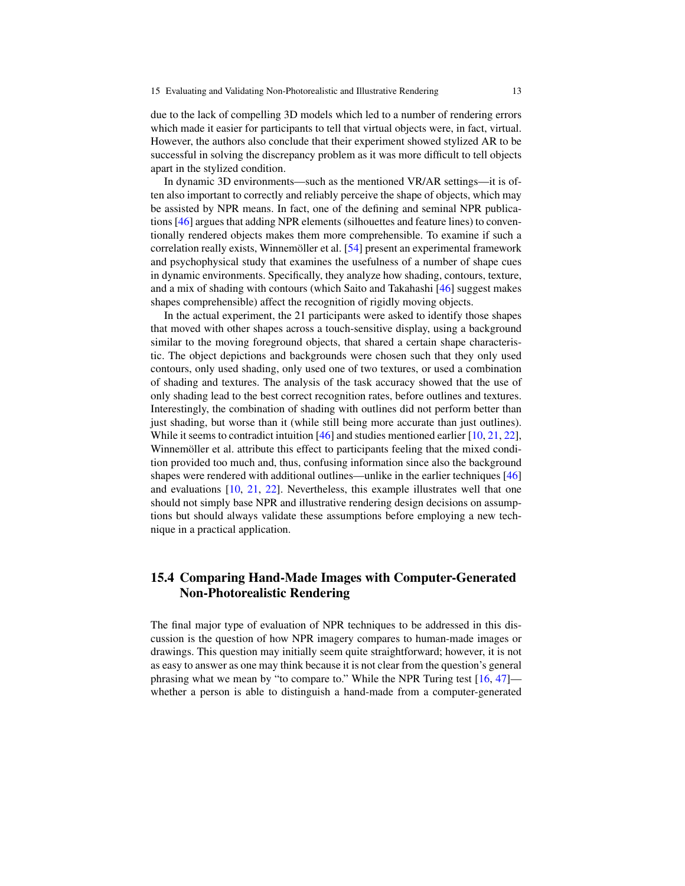due to the lack of compelling 3D models which led to a number of rendering errors which made it easier for participants to tell that virtual objects were, in fact, virtual. However, the authors also conclude that their experiment showed stylized AR to be successful in solving the discrepancy problem as it was more difficult to tell objects apart in the stylized condition.

In dynamic 3D environments—such as the mentioned VR/AR settings—it is often also important to correctly and reliably perceive the shape of objects, which may be assisted by NPR means. In fact, one of the defining and seminal NPR publications [\[46\]](#page-19-15) argues that adding NPR elements (silhouettes and feature lines) to conventionally rendered objects makes them more comprehensible. To examine if such a correlation really exists, Winnemöller et al. [\[54\]](#page-20-2) present an experimental framework and psychophysical study that examines the usefulness of a number of shape cues in dynamic environments. Specifically, they analyze how shading, contours, texture, and a mix of shading with contours (which Saito and Takahashi [\[46\]](#page-19-15) suggest makes shapes comprehensible) affect the recognition of rigidly moving objects.

In the actual experiment, the 21 participants were asked to identify those shapes that moved with other shapes across a touch-sensitive display, using a background similar to the moving foreground objects, that shared a certain shape characteristic. The object depictions and backgrounds were chosen such that they only used contours, only used shading, only used one of two textures, or used a combination of shading and textures. The analysis of the task accuracy showed that the use of only shading lead to the best correct recognition rates, before outlines and textures. Interestingly, the combination of shading with outlines did not perform better than just shading, but worse than it (while still being more accurate than just outlines). While it seems to contradict intuition [\[46\]](#page-19-15) and studies mentioned earlier [\[10,](#page-17-4) [21,](#page-18-7) [22\]](#page-18-8), Winnemöller et al. attribute this effect to participants feeling that the mixed condition provided too much and, thus, confusing information since also the background shapes were rendered with additional outlines—unlike in the earlier techniques [\[46\]](#page-19-15) and evaluations [\[10,](#page-17-4) [21,](#page-18-7) [22\]](#page-18-8). Nevertheless, this example illustrates well that one should not simply base NPR and illustrative rendering design decisions on assumptions but should always validate these assumptions before employing a new technique in a practical application.

# <span id="page-12-0"></span>15.4 Comparing Hand-Made Images with Computer-Generated Non-Photorealistic Rendering

The final major type of evaluation of NPR techniques to be addressed in this discussion is the question of how NPR imagery compares to human-made images or drawings. This question may initially seem quite straightforward; however, it is not as easy to answer as one may think because it is not clear from the question's general phrasing what we mean by "to compare to." While the NPR Turing test [\[16,](#page-18-1) [47\]](#page-19-0) whether a person is able to distinguish a hand-made from a computer-generated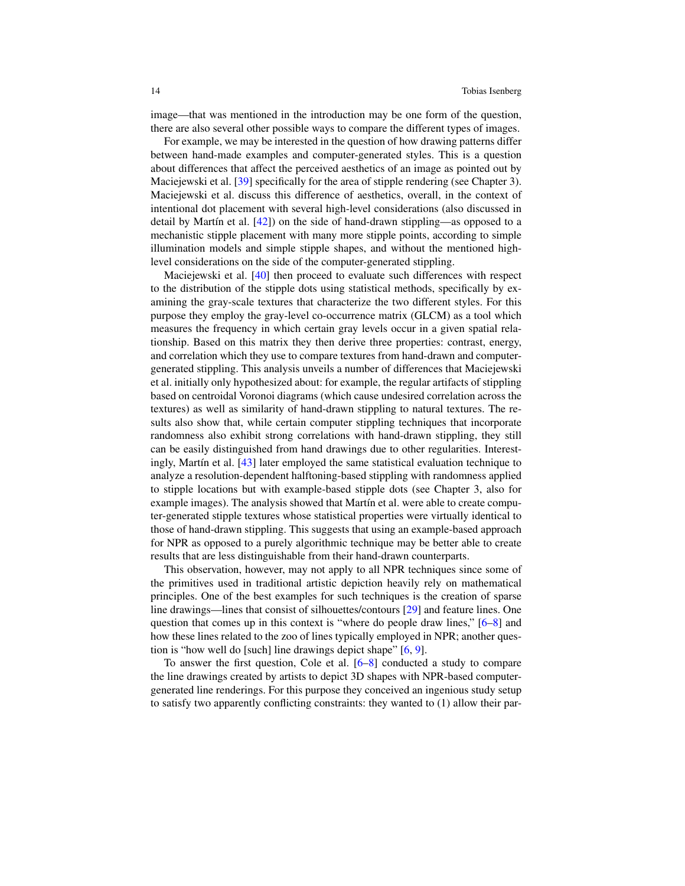image—that was mentioned in the introduction may be one form of the question, there are also several other possible ways to compare the different types of images.

For example, we may be interested in the question of how drawing patterns differ between hand-made examples and computer-generated styles. This is a question about differences that affect the perceived aesthetics of an image as pointed out by Maciejewski et al. [\[39\]](#page-19-16) specifically for the area of stipple rendering (see Chapter 3). Maciejewski et al. discuss this difference of aesthetics, overall, in the context of intentional dot placement with several high-level considerations (also discussed in detail by Martín et al. [\[42\]](#page-19-17)) on the side of hand-drawn stippling—as opposed to a mechanistic stipple placement with many more stipple points, according to simple illumination models and simple stipple shapes, and without the mentioned highlevel considerations on the side of the computer-generated stippling.

Maciejewski et al. [\[40\]](#page-19-18) then proceed to evaluate such differences with respect to the distribution of the stipple dots using statistical methods, specifically by examining the gray-scale textures that characterize the two different styles. For this purpose they employ the gray-level co-occurrence matrix (GLCM) as a tool which measures the frequency in which certain gray levels occur in a given spatial relationship. Based on this matrix they then derive three properties: contrast, energy, and correlation which they use to compare textures from hand-drawn and computergenerated stippling. This analysis unveils a number of differences that Maciejewski et al. initially only hypothesized about: for example, the regular artifacts of stippling based on centroidal Voronoi diagrams (which cause undesired correlation across the textures) as well as similarity of hand-drawn stippling to natural textures. The results also show that, while certain computer stippling techniques that incorporate randomness also exhibit strong correlations with hand-drawn stippling, they still can be easily distinguished from hand drawings due to other regularities. Interestingly, Martín et al. [\[43\]](#page-19-19) later employed the same statistical evaluation technique to analyze a resolution-dependent halftoning-based stippling with randomness applied to stipple locations but with example-based stipple dots (see Chapter 3, also for example images). The analysis showed that Martín et al. were able to create computer-generated stipple textures whose statistical properties were virtually identical to those of hand-drawn stippling. This suggests that using an example-based approach for NPR as opposed to a purely algorithmic technique may be better able to create results that are less distinguishable from their hand-drawn counterparts.

This observation, however, may not apply to all NPR techniques since some of the primitives used in traditional artistic depiction heavily rely on mathematical principles. One of the best examples for such techniques is the creation of sparse line drawings—lines that consist of silhouettes/contours [\[29\]](#page-18-17) and feature lines. One question that comes up in this context is "where do people draw lines," [\[6–](#page-17-9)[8\]](#page-17-10) and how these lines related to the zoo of lines typically employed in NPR; another question is "how well do [such] line drawings depict shape" [\[6,](#page-17-9) [9\]](#page-17-11).

To answer the first question, Cole et al. [\[6](#page-17-9)[–8\]](#page-17-10) conducted a study to compare the line drawings created by artists to depict 3D shapes with NPR-based computergenerated line renderings. For this purpose they conceived an ingenious study setup to satisfy two apparently conflicting constraints: they wanted to (1) allow their par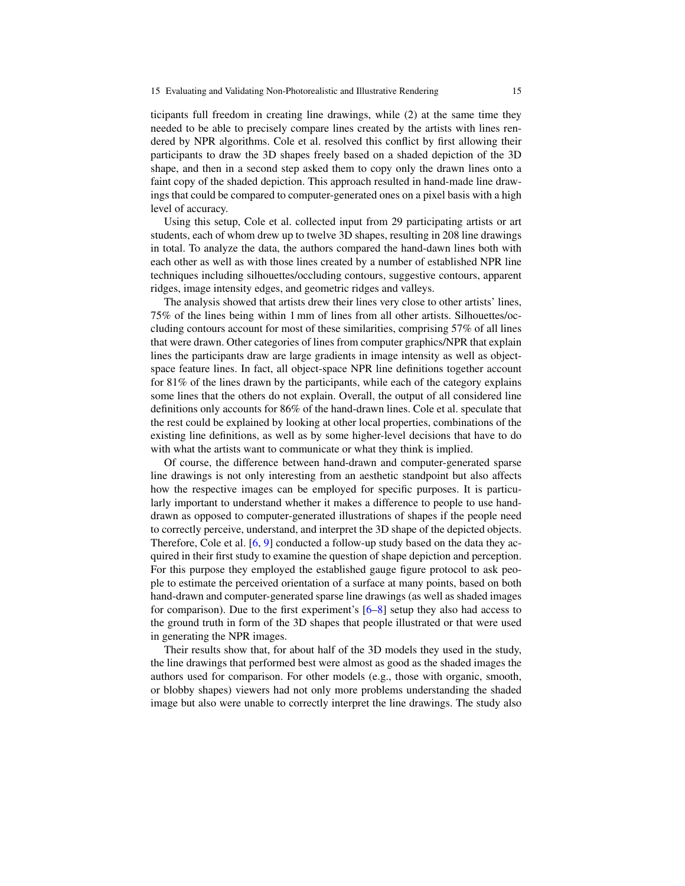ticipants full freedom in creating line drawings, while (2) at the same time they needed to be able to precisely compare lines created by the artists with lines rendered by NPR algorithms. Cole et al. resolved this conflict by first allowing their participants to draw the 3D shapes freely based on a shaded depiction of the 3D shape, and then in a second step asked them to copy only the drawn lines onto a faint copy of the shaded depiction. This approach resulted in hand-made line drawings that could be compared to computer-generated ones on a pixel basis with a high level of accuracy.

Using this setup, Cole et al. collected input from 29 participating artists or art students, each of whom drew up to twelve 3D shapes, resulting in 208 line drawings in total. To analyze the data, the authors compared the hand-dawn lines both with each other as well as with those lines created by a number of established NPR line techniques including silhouettes/occluding contours, suggestive contours, apparent ridges, image intensity edges, and geometric ridges and valleys.

The analysis showed that artists drew their lines very close to other artists' lines, 75% of the lines being within 1 mm of lines from all other artists. Silhouettes/occluding contours account for most of these similarities, comprising 57% of all lines that were drawn. Other categories of lines from computer graphics/NPR that explain lines the participants draw are large gradients in image intensity as well as objectspace feature lines. In fact, all object-space NPR line definitions together account for 81% of the lines drawn by the participants, while each of the category explains some lines that the others do not explain. Overall, the output of all considered line definitions only accounts for 86% of the hand-drawn lines. Cole et al. speculate that the rest could be explained by looking at other local properties, combinations of the existing line definitions, as well as by some higher-level decisions that have to do with what the artists want to communicate or what they think is implied.

Of course, the difference between hand-drawn and computer-generated sparse line drawings is not only interesting from an aesthetic standpoint but also affects how the respective images can be employed for specific purposes. It is particularly important to understand whether it makes a difference to people to use handdrawn as opposed to computer-generated illustrations of shapes if the people need to correctly perceive, understand, and interpret the 3D shape of the depicted objects. Therefore, Cole et al. [\[6,](#page-17-9) [9\]](#page-17-11) conducted a follow-up study based on the data they acquired in their first study to examine the question of shape depiction and perception. For this purpose they employed the established gauge figure protocol to ask people to estimate the perceived orientation of a surface at many points, based on both hand-drawn and computer-generated sparse line drawings (as well as shaded images for comparison). Due to the first experiment's [\[6](#page-17-9)[–8\]](#page-17-10) setup they also had access to the ground truth in form of the 3D shapes that people illustrated or that were used in generating the NPR images.

Their results show that, for about half of the 3D models they used in the study, the line drawings that performed best were almost as good as the shaded images the authors used for comparison. For other models (e.g., those with organic, smooth, or blobby shapes) viewers had not only more problems understanding the shaded image but also were unable to correctly interpret the line drawings. The study also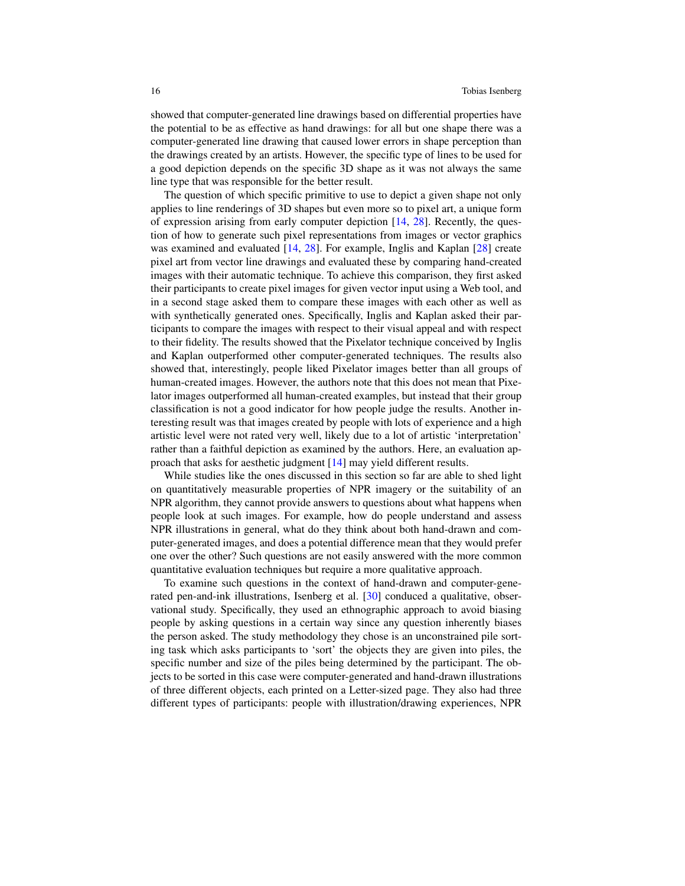showed that computer-generated line drawings based on differential properties have the potential to be as effective as hand drawings: for all but one shape there was a computer-generated line drawing that caused lower errors in shape perception than the drawings created by an artists. However, the specific type of lines to be used for a good depiction depends on the specific 3D shape as it was not always the same line type that was responsible for the better result.

The question of which specific primitive to use to depict a given shape not only applies to line renderings of 3D shapes but even more so to pixel art, a unique form of expression arising from early computer depiction [\[14,](#page-18-18) [28\]](#page-18-19). Recently, the question of how to generate such pixel representations from images or vector graphics was examined and evaluated [\[14,](#page-18-18) [28\]](#page-18-19). For example, Inglis and Kaplan [\[28\]](#page-18-19) create pixel art from vector line drawings and evaluated these by comparing hand-created images with their automatic technique. To achieve this comparison, they first asked their participants to create pixel images for given vector input using a Web tool, and in a second stage asked them to compare these images with each other as well as with synthetically generated ones. Specifically, Inglis and Kaplan asked their participants to compare the images with respect to their visual appeal and with respect to their fidelity. The results showed that the Pixelator technique conceived by Inglis and Kaplan outperformed other computer-generated techniques. The results also showed that, interestingly, people liked Pixelator images better than all groups of human-created images. However, the authors note that this does not mean that Pixelator images outperformed all human-created examples, but instead that their group classification is not a good indicator for how people judge the results. Another interesting result was that images created by people with lots of experience and a high artistic level were not rated very well, likely due to a lot of artistic 'interpretation' rather than a faithful depiction as examined by the authors. Here, an evaluation approach that asks for aesthetic judgment [\[14\]](#page-18-18) may yield different results.

While studies like the ones discussed in this section so far are able to shed light on quantitatively measurable properties of NPR imagery or the suitability of an NPR algorithm, they cannot provide answers to questions about what happens when people look at such images. For example, how do people understand and assess NPR illustrations in general, what do they think about both hand-drawn and computer-generated images, and does a potential difference mean that they would prefer one over the other? Such questions are not easily answered with the more common quantitative evaluation techniques but require a more qualitative approach.

To examine such questions in the context of hand-drawn and computer-generated pen-and-ink illustrations, Isenberg et al. [\[30\]](#page-18-5) conduced a qualitative, observational study. Specifically, they used an ethnographic approach to avoid biasing people by asking questions in a certain way since any question inherently biases the person asked. The study methodology they chose is an unconstrained pile sorting task which asks participants to 'sort' the objects they are given into piles, the specific number and size of the piles being determined by the participant. The objects to be sorted in this case were computer-generated and hand-drawn illustrations of three different objects, each printed on a Letter-sized page. They also had three different types of participants: people with illustration/drawing experiences, NPR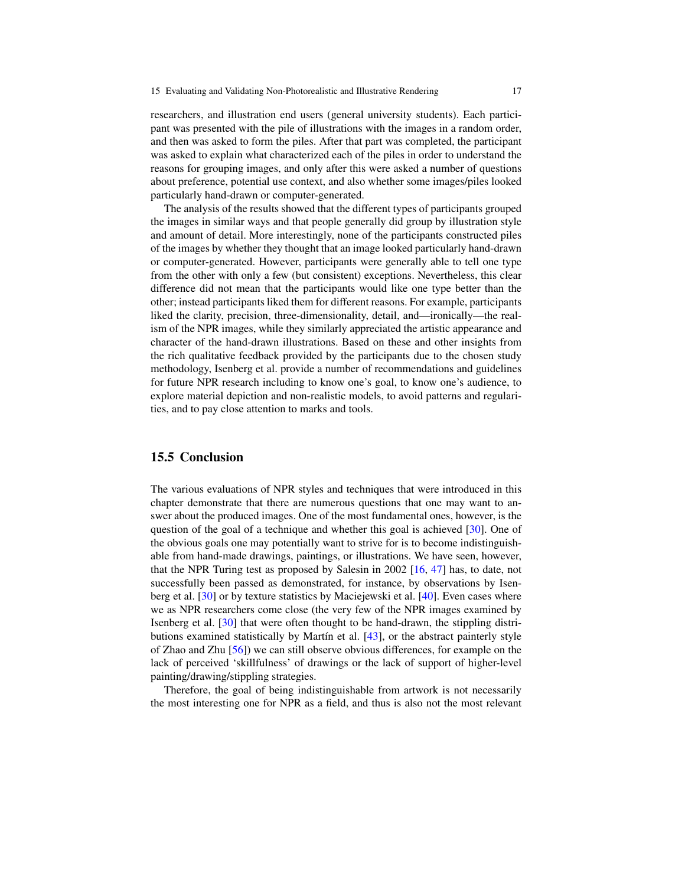researchers, and illustration end users (general university students). Each participant was presented with the pile of illustrations with the images in a random order, and then was asked to form the piles. After that part was completed, the participant was asked to explain what characterized each of the piles in order to understand the reasons for grouping images, and only after this were asked a number of questions about preference, potential use context, and also whether some images/piles looked particularly hand-drawn or computer-generated.

The analysis of the results showed that the different types of participants grouped the images in similar ways and that people generally did group by illustration style and amount of detail. More interestingly, none of the participants constructed piles of the images by whether they thought that an image looked particularly hand-drawn or computer-generated. However, participants were generally able to tell one type from the other with only a few (but consistent) exceptions. Nevertheless, this clear difference did not mean that the participants would like one type better than the other; instead participants liked them for different reasons. For example, participants liked the clarity, precision, three-dimensionality, detail, and—ironically—the realism of the NPR images, while they similarly appreciated the artistic appearance and character of the hand-drawn illustrations. Based on these and other insights from the rich qualitative feedback provided by the participants due to the chosen study methodology, Isenberg et al. provide a number of recommendations and guidelines for future NPR research including to know one's goal, to know one's audience, to explore material depiction and non-realistic models, to avoid patterns and regularities, and to pay close attention to marks and tools.

#### 15.5 Conclusion

The various evaluations of NPR styles and techniques that were introduced in this chapter demonstrate that there are numerous questions that one may want to answer about the produced images. One of the most fundamental ones, however, is the question of the goal of a technique and whether this goal is achieved [\[30\]](#page-18-5). One of the obvious goals one may potentially want to strive for is to become indistinguishable from hand-made drawings, paintings, or illustrations. We have seen, however, that the NPR Turing test as proposed by Salesin in 2002 [\[16,](#page-18-1) [47\]](#page-19-0) has, to date, not successfully been passed as demonstrated, for instance, by observations by Isenberg et al. [\[30\]](#page-18-5) or by texture statistics by Maciejewski et al. [\[40\]](#page-19-18). Even cases where we as NPR researchers come close (the very few of the NPR images examined by Isenberg et al. [\[30\]](#page-18-5) that were often thought to be hand-drawn, the stippling distributions examined statistically by Martín et al. [\[43\]](#page-19-19), or the abstract painterly style of Zhao and Zhu [\[56\]](#page-20-1)) we can still observe obvious differences, for example on the lack of perceived 'skillfulness' of drawings or the lack of support of higher-level painting/drawing/stippling strategies.

Therefore, the goal of being indistinguishable from artwork is not necessarily the most interesting one for NPR as a field, and thus is also not the most relevant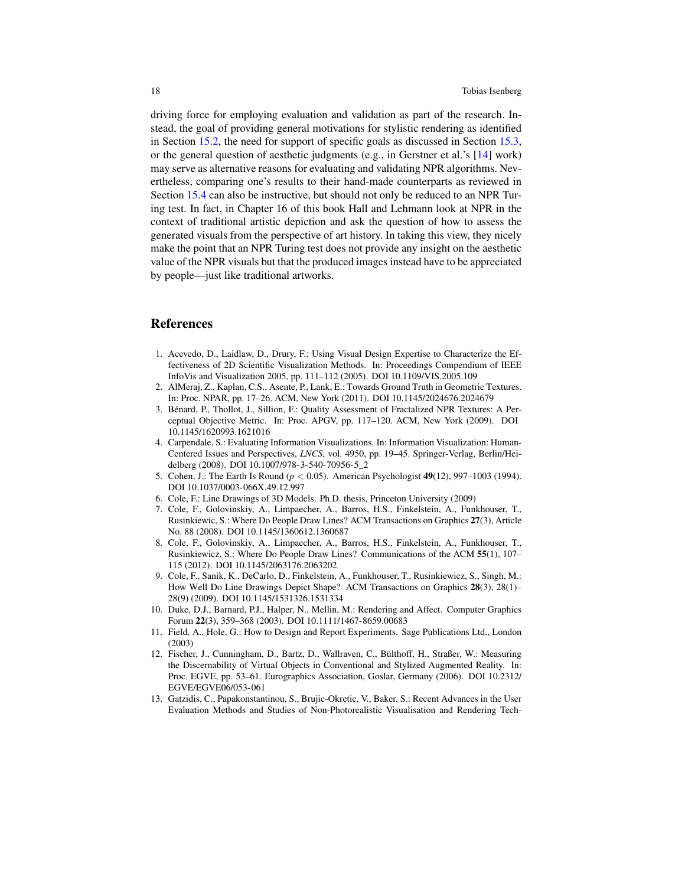driving force for employing evaluation and validation as part of the research. Instead, the goal of providing general motivations for stylistic rendering as identified in Section [15.2,](#page-2-0) the need for support of specific goals as discussed in Section [15.3,](#page-6-0) or the general question of aesthetic judgments (e.g., in Gerstner et al.'s [\[14\]](#page-18-18) work) may serve as alternative reasons for evaluating and validating NPR algorithms. Nevertheless, comparing one's results to their hand-made counterparts as reviewed in Section [15.4](#page-12-0) can also be instructive, but should not only be reduced to an NPR Turing test. In fact, in Chapter 16 of this book Hall and Lehmann look at NPR in the context of traditional artistic depiction and ask the question of how to assess the generated visuals from the perspective of art history. In taking this view, they nicely make the point that an NPR Turing test does not provide any insight on the aesthetic value of the NPR visuals but that the produced images instead have to be appreciated by people—just like traditional artworks.

#### References

- <span id="page-17-7"></span>1. Acevedo, D., Laidlaw, D., Drury, F.: Using Visual Design Expertise to Characterize the Effectiveness of 2D Scientific Visualization Methods. In: Proceedings Compendium of IEEE InfoVis and Visualization 2005, pp. 111–112 (2005). DOI 10.1109/VIS.2005.109
- <span id="page-17-6"></span>2. AlMeraj, Z., Kaplan, C.S., Asente, P., Lank, E.: Towards Ground Truth in Geometric Textures. In: Proc. NPAR, pp. 17–26. ACM, New York (2011). DOI 10.1145/2024676.2024679
- <span id="page-17-5"></span>3. Bénard, P., Thollot, J., Sillion, F.: Quality Assessment of Fractalized NPR Textures: A Perceptual Objective Metric. In: Proc. APGV, pp. 117–120. ACM, New York (2009). DOI 10.1145/1620993.1621016
- <span id="page-17-3"></span>4. Carpendale, S.: Evaluating Information Visualizations. In: Information Visualization: Human-Centered Issues and Perspectives, *LNCS*, vol. 4950, pp. 19–45. Springer-Verlag, Berlin/Heidelberg (2008). DOI 10.1007/978-3-540-70956-5\_2
- <span id="page-17-1"></span>5. Cohen, J.: The Earth Is Round (*p* < 0.05). American Psychologist 49(12), 997–1003 (1994). DOI 10.1037/0003-066X.49.12.997
- <span id="page-17-9"></span>6. Cole, F.: Line Drawings of 3D Models. Ph.D. thesis, Princeton University (2009)
- 7. Cole, F., Golovinskiy, A., Limpaecher, A., Barros, H.S., Finkelstein, A., Funkhouser, T., Rusinkiewic, S.: Where Do People Draw Lines? ACM Transactions on Graphics 27(3), Article No. 88 (2008). DOI 10.1145/1360612.1360687
- <span id="page-17-10"></span>8. Cole, F., Golovinskiy, A., Limpaecher, A., Barros, H.S., Finkelstein, A., Funkhouser, T., Rusinkiewicz, S.: Where Do People Draw Lines? Communications of the ACM 55(1), 107– 115 (2012). DOI 10.1145/2063176.2063202
- <span id="page-17-11"></span>9. Cole, F., Sanik, K., DeCarlo, D., Finkelstein, A., Funkhouser, T., Rusinkiewicz, S., Singh, M.: How Well Do Line Drawings Depict Shape? ACM Transactions on Graphics 28(3), 28(1)– 28(9) (2009). DOI 10.1145/1531326.1531334
- <span id="page-17-4"></span>10. Duke, D.J., Barnard, P.J., Halper, N., Mellin, M.: Rendering and Affect. Computer Graphics Forum 22(3), 359–368 (2003). DOI 10.1111/1467-8659.00683
- <span id="page-17-2"></span>11. Field, A., Hole, G.: How to Design and Report Experiments. Sage Publications Ltd., London (2003)
- <span id="page-17-8"></span>12. Fischer, J., Cunningham, D., Bartz, D., Wallraven, C., Bülthoff, H., Straßer, W.: Measuring the Discernability of Virtual Objects in Conventional and Stylized Augmented Reality. In: Proc. EGVE, pp. 53–61. Eurographics Association, Goslar, Germany (2006). DOI 10.2312/ EGVE/EGVE06/053-061
- <span id="page-17-0"></span>13. Gatzidis, C., Papakonstantinou, S., Brujic-Okretic, V., Baker, S.: Recent Advances in the User Evaluation Methods and Studies of Non-Photorealistic Visualisation and Rendering Tech-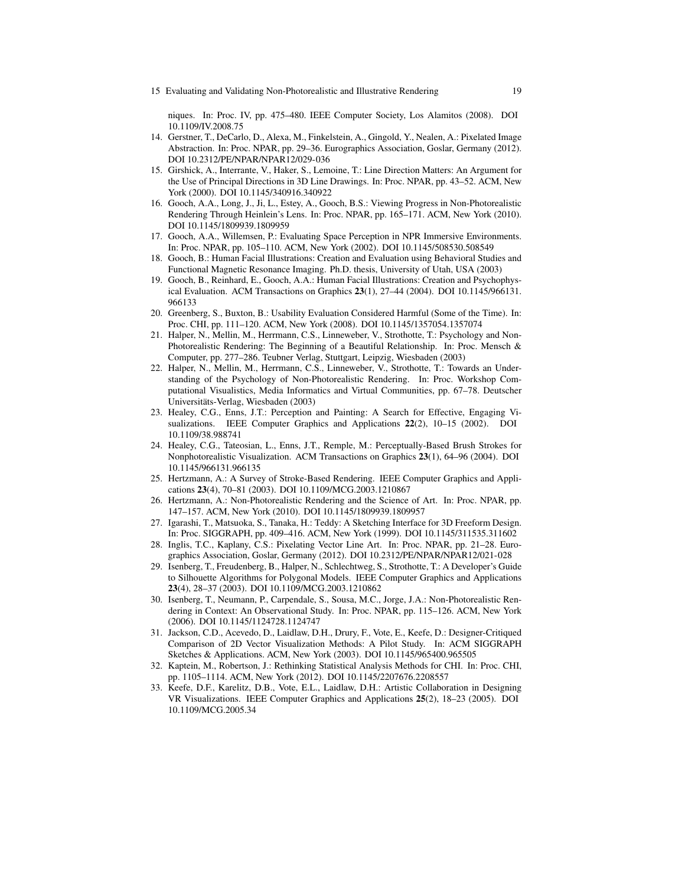15 Evaluating and Validating Non-Photorealistic and Illustrative Rendering 19

niques. In: Proc. IV, pp. 475–480. IEEE Computer Society, Los Alamitos (2008). DOI 10.1109/IV.2008.75

- <span id="page-18-18"></span>14. Gerstner, T., DeCarlo, D., Alexa, M., Finkelstein, A., Gingold, Y., Nealen, A.: Pixelated Image Abstraction. In: Proc. NPAR, pp. 29–36. Eurographics Association, Goslar, Germany (2012). DOI 10.2312/PE/NPAR/NPAR12/029-036
- <span id="page-18-10"></span>15. Girshick, A., Interrante, V., Haker, S., Lemoine, T.: Line Direction Matters: An Argument for the Use of Principal Directions in 3D Line Drawings. In: Proc. NPAR, pp. 43–52. ACM, New York (2000). DOI 10.1145/340916.340922
- <span id="page-18-1"></span>16. Gooch, A.A., Long, J., Ji, L., Estey, A., Gooch, B.S.: Viewing Progress in Non-Photorealistic Rendering Through Heinlein's Lens. In: Proc. NPAR, pp. 165–171. ACM, New York (2010). DOI 10.1145/1809939.1809959
- <span id="page-18-16"></span>17. Gooch, A.A., Willemsen, P.: Evaluating Space Perception in NPR Immersive Environments. In: Proc. NPAR, pp. 105–110. ACM, New York (2002). DOI 10.1145/508530.508549
- <span id="page-18-9"></span>18. Gooch, B.: Human Facial Illustrations: Creation and Evaluation using Behavioral Studies and Functional Magnetic Resonance Imaging. Ph.D. thesis, University of Utah, USA (2003)
- <span id="page-18-4"></span>19. Gooch, B., Reinhard, E., Gooch, A.A.: Human Facial Illustrations: Creation and Psychophysical Evaluation. ACM Transactions on Graphics 23(1), 27–44 (2004). DOI 10.1145/966131. 966133
- <span id="page-18-2"></span>20. Greenberg, S., Buxton, B.: Usability Evaluation Considered Harmful (Some of the Time). In: Proc. CHI, pp. 111–120. ACM, New York (2008). DOI 10.1145/1357054.1357074
- <span id="page-18-7"></span>21. Halper, N., Mellin, M., Herrmann, C.S., Linneweber, V., Strothotte, T.: Psychology and Non-Photorealistic Rendering: The Beginning of a Beautiful Relationship. In: Proc. Mensch & Computer, pp. 277–286. Teubner Verlag, Stuttgart, Leipzig, Wiesbaden (2003)
- <span id="page-18-8"></span>22. Halper, N., Mellin, M., Herrmann, C.S., Linneweber, V., Strothotte, T.: Towards an Understanding of the Psychology of Non-Photorealistic Rendering. In: Proc. Workshop Computational Visualistics, Media Informatics and Virtual Communities, pp. 67–78. Deutscher Universitäts-Verlag, Wiesbaden (2003)
- <span id="page-18-13"></span>23. Healey, C.G., Enns, J.T.: Perception and Painting: A Search for Effective, Engaging Visualizations. IEEE Computer Graphics and Applications 22(2), 10–15 (2002). DOI 10.1109/38.988741
- <span id="page-18-14"></span>24. Healey, C.G., Tateosian, L., Enns, J.T., Remple, M.: Perceptually-Based Brush Strokes for Nonphotorealistic Visualization. ACM Transactions on Graphics 23(1), 64–96 (2004). DOI 10.1145/966131.966135
- <span id="page-18-15"></span>25. Hertzmann, A.: A Survey of Stroke-Based Rendering. IEEE Computer Graphics and Applications 23(4), 70–81 (2003). DOI 10.1109/MCG.2003.1210867
- <span id="page-18-0"></span>26. Hertzmann, A.: Non-Photorealistic Rendering and the Science of Art. In: Proc. NPAR, pp. 147–157. ACM, New York (2010). DOI 10.1145/1809939.1809957
- <span id="page-18-6"></span>27. Igarashi, T., Matsuoka, S., Tanaka, H.: Teddy: A Sketching Interface for 3D Freeform Design. In: Proc. SIGGRAPH, pp. 409–416. ACM, New York (1999). DOI 10.1145/311535.311602
- <span id="page-18-19"></span>28. Inglis, T.C., Kaplany, C.S.: Pixelating Vector Line Art. In: Proc. NPAR, pp. 21–28. Eurographics Association, Goslar, Germany (2012). DOI 10.2312/PE/NPAR/NPAR12/021-028
- <span id="page-18-17"></span>29. Isenberg, T., Freudenberg, B., Halper, N., Schlechtweg, S., Strothotte, T.: A Developer's Guide to Silhouette Algorithms for Polygonal Models. IEEE Computer Graphics and Applications 23(4), 28–37 (2003). DOI 10.1109/MCG.2003.1210862
- <span id="page-18-5"></span>30. Isenberg, T., Neumann, P., Carpendale, S., Sousa, M.C., Jorge, J.A.: Non-Photorealistic Rendering in Context: An Observational Study. In: Proc. NPAR, pp. 115–126. ACM, New York (2006). DOI 10.1145/1124728.1124747
- <span id="page-18-11"></span>31. Jackson, C.D., Acevedo, D., Laidlaw, D.H., Drury, F., Vote, E., Keefe, D.: Designer-Critiqued Comparison of 2D Vector Visualization Methods: A Pilot Study. In: ACM SIGGRAPH Sketches & Applications. ACM, New York (2003). DOI 10.1145/965400.965505
- <span id="page-18-3"></span>32. Kaptein, M., Robertson, J.: Rethinking Statistical Analysis Methods for CHI. In: Proc. CHI, pp. 1105–1114. ACM, New York (2012). DOI 10.1145/2207676.2208557
- <span id="page-18-12"></span>33. Keefe, D.F., Karelitz, D.B., Vote, E.L., Laidlaw, D.H.: Artistic Collaboration in Designing VR Visualizations. IEEE Computer Graphics and Applications 25(2), 18–23 (2005). DOI 10.1109/MCG.2005.34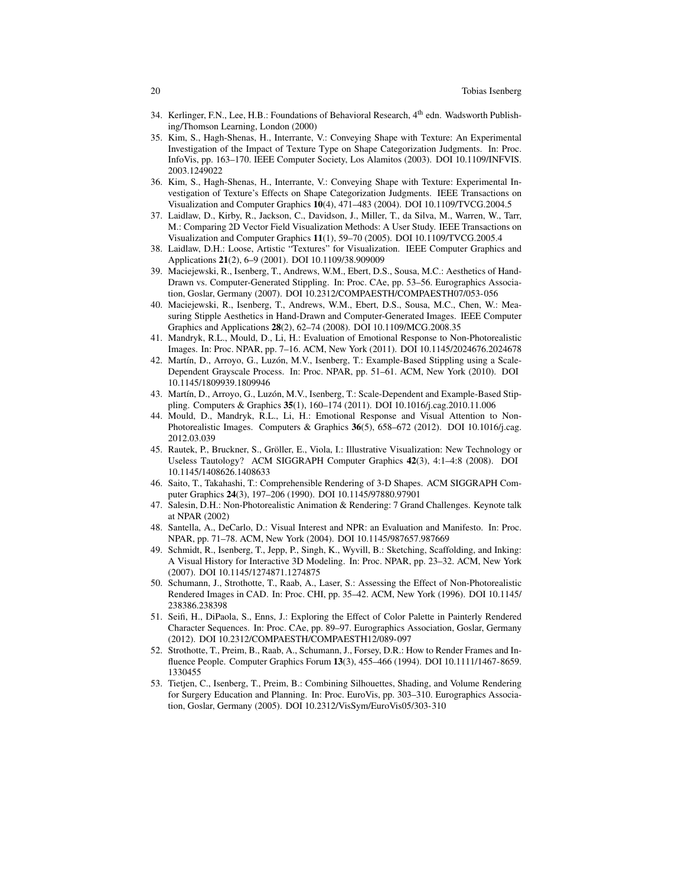- <span id="page-19-1"></span>34. Kerlinger, F.N., Lee, H.B.: Foundations of Behavioral Research, 4th edn. Wadsworth Publishing/Thomson Learning, London (2000)
- <span id="page-19-9"></span>35. Kim, S., Hagh-Shenas, H., Interrante, V.: Conveying Shape with Texture: An Experimental Investigation of the Impact of Texture Type on Shape Categorization Judgments. In: Proc. InfoVis, pp. 163–170. IEEE Computer Society, Los Alamitos (2003). DOI 10.1109/INFVIS. 2003.1249022
- <span id="page-19-10"></span>36. Kim, S., Hagh-Shenas, H., Interrante, V.: Conveying Shape with Texture: Experimental Investigation of Texture's Effects on Shape Categorization Judgments. IEEE Transactions on Visualization and Computer Graphics 10(4), 471–483 (2004). DOI 10.1109/TVCG.2004.5
- <span id="page-19-12"></span>37. Laidlaw, D., Kirby, R., Jackson, C., Davidson, J., Miller, T., da Silva, M., Warren, W., Tarr, M.: Comparing 2D Vector Field Visualization Methods: A User Study. IEEE Transactions on Visualization and Computer Graphics 11(1), 59–70 (2005). DOI 10.1109/TVCG.2005.4
- <span id="page-19-13"></span>38. Laidlaw, D.H.: Loose, Artistic "Textures" for Visualization. IEEE Computer Graphics and Applications 21(2), 6–9 (2001). DOI 10.1109/38.909009
- <span id="page-19-16"></span>39. Maciejewski, R., Isenberg, T., Andrews, W.M., Ebert, D.S., Sousa, M.C.: Aesthetics of Hand-Drawn vs. Computer-Generated Stippling. In: Proc. CAe, pp. 53–56. Eurographics Association, Goslar, Germany (2007). DOI 10.2312/COMPAESTH/COMPAESTH07/053-056
- <span id="page-19-18"></span>40. Maciejewski, R., Isenberg, T., Andrews, W.M., Ebert, D.S., Sousa, M.C., Chen, W.: Measuring Stipple Aesthetics in Hand-Drawn and Computer-Generated Images. IEEE Computer Graphics and Applications 28(2), 62–74 (2008). DOI 10.1109/MCG.2008.35
- <span id="page-19-5"></span>41. Mandryk, R.L., Mould, D., Li, H.: Evaluation of Emotional Response to Non-Photorealistic Images. In: Proc. NPAR, pp. 7–16. ACM, New York (2011). DOI 10.1145/2024676.2024678
- <span id="page-19-17"></span>42. Martín, D., Arroyo, G., Luzón, M.V., Isenberg, T.: Example-Based Stippling using a Scale-Dependent Grayscale Process. In: Proc. NPAR, pp. 51–61. ACM, New York (2010). DOI 10.1145/1809939.1809946
- <span id="page-19-19"></span>43. Martín, D., Arroyo, G., Luzón, M.V., Isenberg, T.: Scale-Dependent and Example-Based Stippling. Computers & Graphics 35(1), 160–174 (2011). DOI 10.1016/j.cag.2010.11.006
- <span id="page-19-6"></span>44. Mould, D., Mandryk, R.L., Li, H.: Emotional Response and Visual Attention to Non-Photorealistic Images. Computers & Graphics 36(5), 658–672 (2012). DOI 10.1016/j.cag. 2012.03.039
- <span id="page-19-11"></span>45. Rautek, P., Bruckner, S., Gröller, E., Viola, I.: Illustrative Visualization: New Technology or Useless Tautology? ACM SIGGRAPH Computer Graphics 42(3), 4:1–4:8 (2008). DOI 10.1145/1408626.1408633
- <span id="page-19-15"></span>46. Saito, T., Takahashi, T.: Comprehensible Rendering of 3-D Shapes. ACM SIGGRAPH Computer Graphics 24(3), 197–206 (1990). DOI 10.1145/97880.97901
- <span id="page-19-0"></span>47. Salesin, D.H.: Non-Photorealistic Animation & Rendering: 7 Grand Challenges. Keynote talk at NPAR (2002)
- <span id="page-19-8"></span>48. Santella, A., DeCarlo, D.: Visual Interest and NPR: an Evaluation and Manifesto. In: Proc. NPAR, pp. 71–78. ACM, New York (2004). DOI 10.1145/987657.987669
- <span id="page-19-4"></span>49. Schmidt, R., Isenberg, T., Jepp, P., Singh, K., Wyvill, B.: Sketching, Scaffolding, and Inking: A Visual History for Interactive 3D Modeling. In: Proc. NPAR, pp. 23–32. ACM, New York (2007). DOI 10.1145/1274871.1274875
- <span id="page-19-2"></span>50. Schumann, J., Strothotte, T., Raab, A., Laser, S.: Assessing the Effect of Non-Photorealistic Rendered Images in CAD. In: Proc. CHI, pp. 35–42. ACM, New York (1996). DOI 10.1145/ 238386.238398
- <span id="page-19-7"></span>51. Seifi, H., DiPaola, S., Enns, J.: Exploring the Effect of Color Palette in Painterly Rendered Character Sequences. In: Proc. CAe, pp. 89–97. Eurographics Association, Goslar, Germany (2012). DOI 10.2312/COMPAESTH/COMPAESTH12/089-097
- <span id="page-19-3"></span>52. Strothotte, T., Preim, B., Raab, A., Schumann, J., Forsey, D.R.: How to Render Frames and Influence People. Computer Graphics Forum 13(3), 455–466 (1994). DOI 10.1111/1467-8659. 1330455
- <span id="page-19-14"></span>53. Tietjen, C., Isenberg, T., Preim, B.: Combining Silhouettes, Shading, and Volume Rendering for Surgery Education and Planning. In: Proc. EuroVis, pp. 303-310. Eurographics Association, Goslar, Germany (2005). DOI 10.2312/VisSym/EuroVis05/303-310